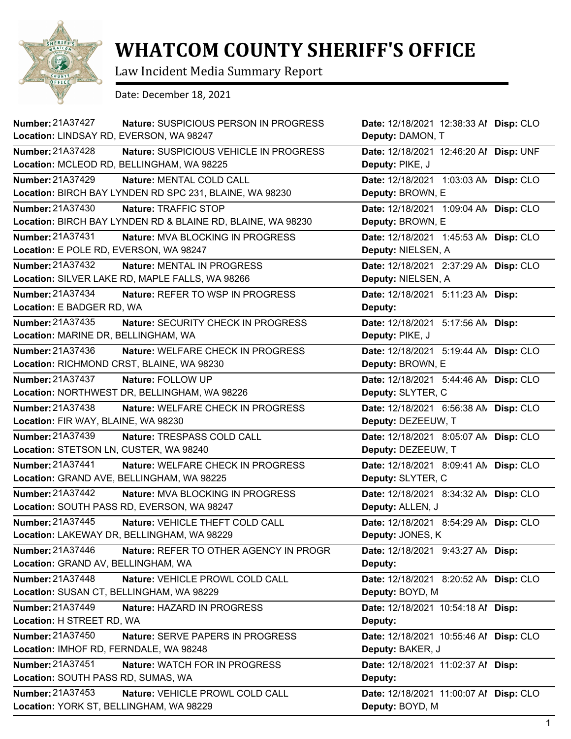

## **WHATCOM COUNTY SHERIFF'S OFFICE**

Law Incident Media Summary Report

Date: December 18, 2021

| <b>Number: 21A37427</b><br>Nature: SUSPICIOUS PERSON IN PROGRESS                                               | Date: 12/18/2021 12:38:33 Al Disp: CLO                    |
|----------------------------------------------------------------------------------------------------------------|-----------------------------------------------------------|
| Location: LINDSAY RD, EVERSON, WA 98247                                                                        | Deputy: DAMON, T                                          |
| <b>Number: 21A37428</b><br>Nature: SUSPICIOUS VEHICLE IN PROGRESS<br>Location: MCLEOD RD, BELLINGHAM, WA 98225 | Date: 12/18/2021 12:46:20 Al Disp: UNF<br>Deputy: PIKE, J |
| Number: 21A37429<br>Nature: MENTAL COLD CALL                                                                   | Date: 12/18/2021 1:03:03 AN Disp: CLO                     |
| Location: BIRCH BAY LYNDEN RD SPC 231, BLAINE, WA 98230                                                        | Deputy: BROWN, E                                          |
| Number: 21A37430<br>Nature: TRAFFIC STOP                                                                       | Date: 12/18/2021 1:09:04 AN Disp: CLO                     |
| Location: BIRCH BAY LYNDEN RD & BLAINE RD, BLAINE, WA 98230                                                    | Deputy: BROWN, E                                          |
| <b>Number: 21A37431</b><br>Nature: MVA BLOCKING IN PROGRESS                                                    | Date: 12/18/2021 1:45:53 AN Disp: CLO                     |
| Location: E POLE RD, EVERSON, WA 98247                                                                         | Deputy: NIELSEN, A                                        |
| Number: 21A37432<br>Nature: MENTAL IN PROGRESS                                                                 | Date: 12/18/2021 2:37:29 AN Disp: CLO                     |
| Location: SILVER LAKE RD, MAPLE FALLS, WA 98266                                                                | Deputy: NIELSEN, A                                        |
| <b>Number: 21A37434</b><br>Nature: REFER TO WSP IN PROGRESS                                                    | Date: 12/18/2021 5:11:23 AN Disp:                         |
| Location: E BADGER RD, WA                                                                                      | Deputy:                                                   |
| Number: 21A37435<br><b>Nature: SECURITY CHECK IN PROGRESS</b>                                                  | Date: 12/18/2021 5:17:56 AN Disp:                         |
| Location: MARINE DR, BELLINGHAM, WA                                                                            | Deputy: PIKE, J                                           |
| Number: 21A37436<br>Nature: WELFARE CHECK IN PROGRESS                                                          | Date: 12/18/2021 5:19:44 AN Disp: CLO                     |
| Location: RICHMOND CRST, BLAINE, WA 98230                                                                      | Deputy: BROWN, E                                          |
| <b>Number: 21A37437</b><br>Nature: FOLLOW UP                                                                   | Date: 12/18/2021 5:44:46 AN Disp: CLO                     |
| Location: NORTHWEST DR, BELLINGHAM, WA 98226                                                                   | Deputy: SLYTER, C                                         |
| Number: 21A37438<br>Nature: WELFARE CHECK IN PROGRESS                                                          | Date: 12/18/2021 6:56:38 AN Disp: CLO                     |
| Location: FIR WAY, BLAINE, WA 98230                                                                            | Deputy: DEZEEUW, T                                        |
| <b>Number: 21A37439</b><br>Nature: TRESPASS COLD CALL                                                          | Date: 12/18/2021 8:05:07 AN Disp: CLO                     |
| Location: STETSON LN, CUSTER, WA 98240                                                                         | Deputy: DEZEEUW, T                                        |
| <b>Number: 21A37441</b><br>Nature: WELFARE CHECK IN PROGRESS                                                   | Date: 12/18/2021 8:09:41 AN Disp: CLO                     |
| Location: GRAND AVE, BELLINGHAM, WA 98225                                                                      | Deputy: SLYTER, C                                         |
| Number: 21A37442<br>Nature: MVA BLOCKING IN PROGRESS                                                           | Date: 12/18/2021 8:34:32 AN Disp: CLO                     |
| Location: SOUTH PASS RD, EVERSON, WA 98247                                                                     | Deputy: ALLEN, J                                          |
| Number: 21A37445<br>Nature: VEHICLE THEFT COLD CALL                                                            | Date: 12/18/2021 8:54:29 AN Disp: CLO                     |
| Location: LAKEWAY DR, BELLINGHAM, WA 98229                                                                     | Deputy: JONES, K                                          |
| Number: 21A37446<br>Nature: REFER TO OTHER AGENCY IN PROGR                                                     | Date: 12/18/2021 9:43:27 AN Disp:                         |
| Location: GRAND AV, BELLINGHAM, WA                                                                             | Deputy:                                                   |
| Number: 21A37448<br>Nature: VEHICLE PROWL COLD CALL                                                            | Date: 12/18/2021 8:20:52 AN Disp: CLO                     |
| Location: SUSAN CT, BELLINGHAM, WA 98229                                                                       | Deputy: BOYD, M                                           |
| Number: 21A37449<br>Nature: HAZARD IN PROGRESS                                                                 | Date: 12/18/2021 10:54:18 Al Disp:                        |
| Location: H STREET RD, WA                                                                                      | Deputy:                                                   |
| Number: 21A37450<br>Nature: SERVE PAPERS IN PROGRESS                                                           | Date: 12/18/2021 10:55:46 Al Disp: CLO                    |
| Location: IMHOF RD, FERNDALE, WA 98248                                                                         | Deputy: BAKER, J                                          |
| Number: 21A37451<br>Nature: WATCH FOR IN PROGRESS                                                              | Date: 12/18/2021 11:02:37 Al Disp:                        |
| Location: SOUTH PASS RD, SUMAS, WA                                                                             | Deputy:                                                   |
| <b>Number: 21A37453</b><br>Nature: VEHICLE PROWL COLD CALL                                                     | Date: 12/18/2021 11:00:07 Al Disp: CLO                    |
| Location: YORK ST, BELLINGHAM, WA 98229                                                                        | Deputy: BOYD, M                                           |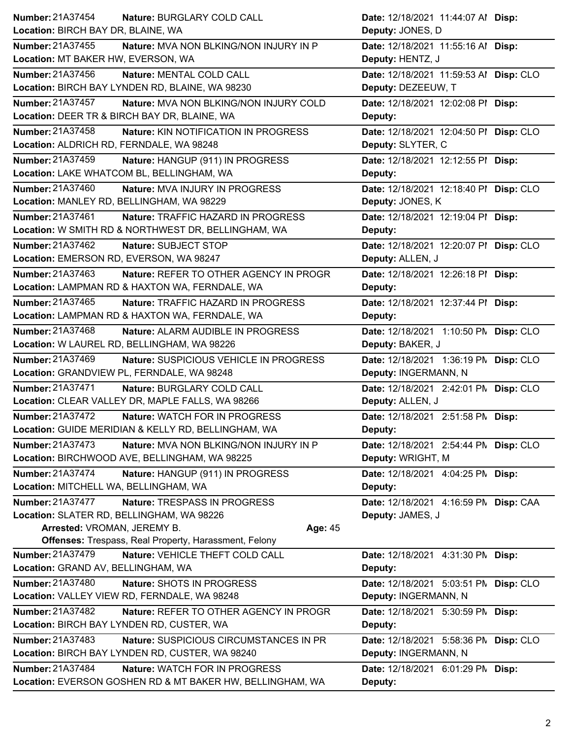| Number: 21A37454<br>Nature: BURGLARY COLD CALL                    | Date: 12/18/2021 11:44:07 Al Disp:     |
|-------------------------------------------------------------------|----------------------------------------|
| Location: BIRCH BAY DR, BLAINE, WA                                | Deputy: JONES, D                       |
| Number: 21A37455<br>Nature: MVA NON BLKING/NON INJURY IN P        | Date: 12/18/2021 11:55:16 Al Disp:     |
| Location: MT BAKER HW, EVERSON, WA                                | Deputy: HENTZ, J                       |
| <b>Number: 21A37456</b><br>Nature: MENTAL COLD CALL               | Date: 12/18/2021 11:59:53 Al Disp: CLO |
| Location: BIRCH BAY LYNDEN RD, BLAINE, WA 98230                   | Deputy: DEZEEUW, T                     |
| <b>Number: 21A37457</b><br>Nature: MVA NON BLKING/NON INJURY COLD | Date: 12/18/2021 12:02:08 PI Disp:     |
| Location: DEER TR & BIRCH BAY DR, BLAINE, WA                      | Deputy:                                |
| Number: 21A37458<br>Nature: KIN NOTIFICATION IN PROGRESS          | Date: 12/18/2021 12:04:50 PI Disp: CLO |
| Location: ALDRICH RD, FERNDALE, WA 98248                          | Deputy: SLYTER, C                      |
| <b>Number: 21A37459</b><br>Nature: HANGUP (911) IN PROGRESS       | Date: 12/18/2021 12:12:55 PI Disp:     |
| Location: LAKE WHATCOM BL, BELLINGHAM, WA                         | Deputy:                                |
| <b>Number: 21A37460</b><br>Nature: MVA INJURY IN PROGRESS         | Date: 12/18/2021 12:18:40 PI Disp: CLO |
| Location: MANLEY RD, BELLINGHAM, WA 98229                         | Deputy: JONES, K                       |
| Number: 21A37461<br>Nature: TRAFFIC HAZARD IN PROGRESS            | Date: 12/18/2021 12:19:04 PI Disp:     |
| Location: W SMITH RD & NORTHWEST DR, BELLINGHAM, WA               | Deputy:                                |
| Number: 21A37462<br>Nature: SUBJECT STOP                          | Date: 12/18/2021 12:20:07 PI Disp: CLO |
| Location: EMERSON RD, EVERSON, WA 98247                           | Deputy: ALLEN, J                       |
| Number: 21A37463<br>Nature: REFER TO OTHER AGENCY IN PROGR        | Date: 12/18/2021 12:26:18 PI Disp:     |
| Location: LAMPMAN RD & HAXTON WA, FERNDALE, WA                    | Deputy:                                |
| <b>Number: 21A37465</b><br>Nature: TRAFFIC HAZARD IN PROGRESS     | Date: 12/18/2021 12:37:44 PI Disp:     |
| Location: LAMPMAN RD & HAXTON WA, FERNDALE, WA                    | Deputy:                                |
| Number: 21A37468<br>Nature: ALARM AUDIBLE IN PROGRESS             | Date: 12/18/2021 1:10:50 PN Disp: CLO  |
| Location: W LAUREL RD, BELLINGHAM, WA 98226                       | Deputy: BAKER, J                       |
| <b>Number: 21A37469</b><br>Nature: SUSPICIOUS VEHICLE IN PROGRESS | Date: 12/18/2021 1:36:19 PM Disp: CLO  |
| Location: GRANDVIEW PL, FERNDALE, WA 98248                        | Deputy: INGERMANN, N                   |
| <b>Number: 21A37471</b><br>Nature: BURGLARY COLD CALL             | Date: 12/18/2021 2:42:01 PM Disp: CLO  |
| Location: CLEAR VALLEY DR, MAPLE FALLS, WA 98266                  | Deputy: ALLEN, J                       |
| <b>Number: 21A37472</b><br><b>Nature: WATCH FOR IN PROGRESS</b>   | Date: 12/18/2021 2:51:58 PM Disp:      |
| Location: GUIDE MERIDIAN & KELLY RD, BELLINGHAM, WA               | Deputy:                                |
| <b>Number: 21A37473</b><br>Nature: MVA NON BLKING/NON INJURY IN P | Date: 12/18/2021 2:54:44 PN Disp: CLO  |
| Location: BIRCHWOOD AVE, BELLINGHAM, WA 98225                     | Deputy: WRIGHT, M                      |
| Number: 21A37474<br>Nature: HANGUP (911) IN PROGRESS              | Date: 12/18/2021 4:04:25 PM Disp:      |
| Location: MITCHELL WA, BELLINGHAM, WA                             | Deputy:                                |
|                                                                   |                                        |
| <b>Number: 21A37477</b><br>Nature: TRESPASS IN PROGRESS           | Date: 12/18/2021 4:16:59 PM Disp: CAA  |
| Location: SLATER RD, BELLINGHAM, WA 98226                         | Deputy: JAMES, J                       |
| Arrested: VROMAN, JEREMY B.<br>Age: 45                            |                                        |
| Offenses: Trespass, Real Property, Harassment, Felony             |                                        |
| Number: 21A37479<br>Nature: VEHICLE THEFT COLD CALL               | Date: 12/18/2021 4:31:30 PM Disp:      |
| Location: GRAND AV, BELLINGHAM, WA                                | Deputy:                                |
| <b>Number: 21A37480</b><br>Nature: SHOTS IN PROGRESS              | Date: 12/18/2021 5:03:51 PN Disp: CLO  |
| Location: VALLEY VIEW RD, FERNDALE, WA 98248                      | Deputy: INGERMANN, N                   |
| Number: 21A37482<br>Nature: REFER TO OTHER AGENCY IN PROGR        | Date: 12/18/2021 5:30:59 PM Disp:      |
| Location: BIRCH BAY LYNDEN RD, CUSTER, WA                         | Deputy:                                |
| Number: 21A37483<br>Nature: SUSPICIOUS CIRCUMSTANCES IN PR        | Date: 12/18/2021 5:58:36 PM Disp: CLO  |
| Location: BIRCH BAY LYNDEN RD, CUSTER, WA 98240                   | Deputy: INGERMANN, N                   |
| Number: 21A37484<br>Nature: WATCH FOR IN PROGRESS                 | Date: 12/18/2021 6:01:29 PM Disp:      |